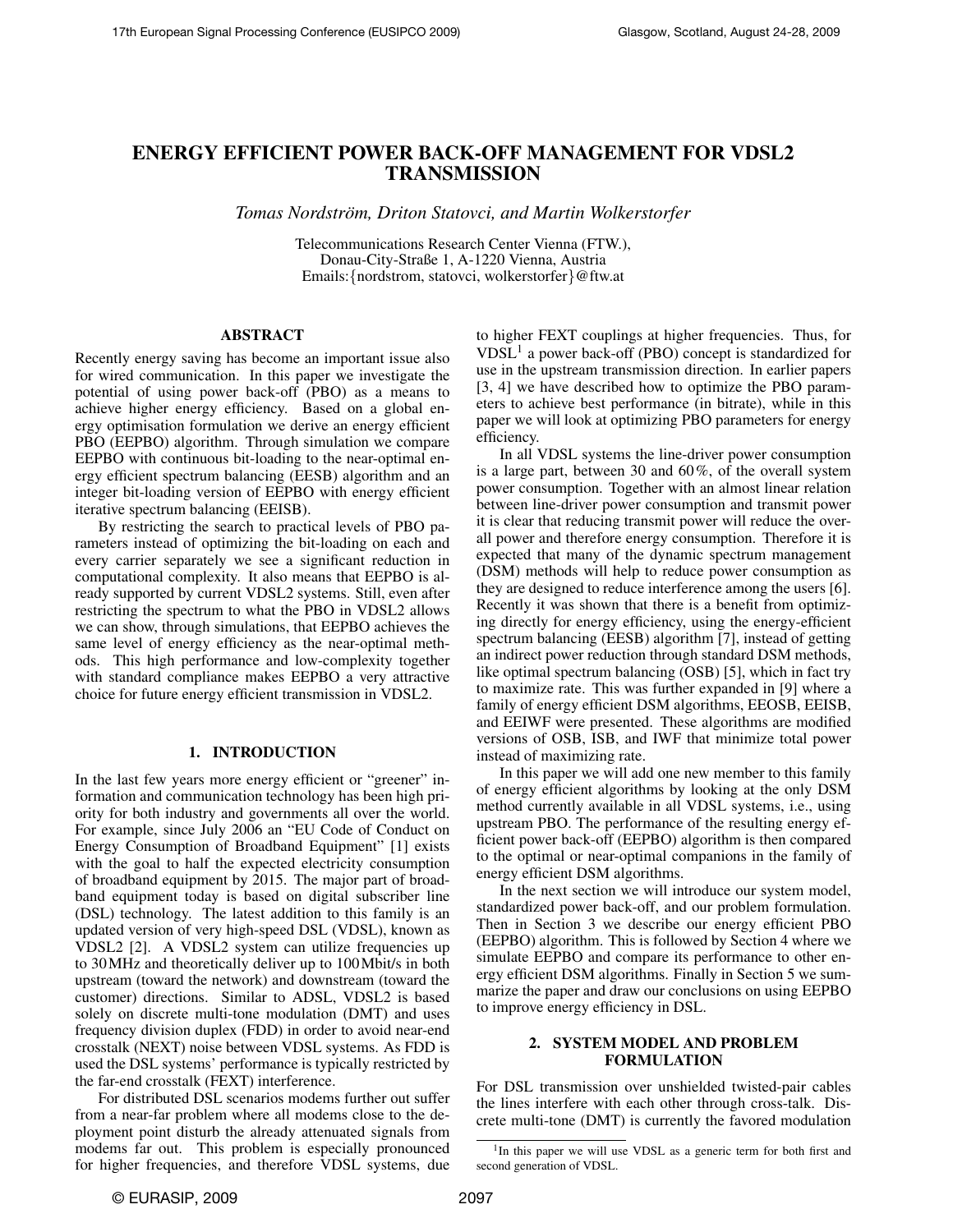# ENERGY EFFICIENT POWER BACK-OFF MANAGEMENT FOR VDSL2 TRANSMISSION

*Tomas Nordström, Driton Statovci, and Martin Wolkerstorfer* 

Telecommunications Research Center Vienna (FTW.), Donau-City-Straße 1, A-1220 Vienna, Austria Emails:{nordstrom, statovci, wolkerstorfer}@ftw.at

# ABSTRACT

Recently energy saving has become an important issue also for wired communication. In this paper we investigate the potential of using power back-off (PBO) as a means to achieve higher energy efficiency. Based on a global energy optimisation formulation we derive an energy efficient PBO (EEPBO) algorithm. Through simulation we compare EEPBO with continuous bit-loading to the near-optimal energy efficient spectrum balancing (EESB) algorithm and an integer bit-loading version of EEPBO with energy efficient iterative spectrum balancing (EEISB).

By restricting the search to practical levels of PBO parameters instead of optimizing the bit-loading on each and every carrier separately we see a significant reduction in computational complexity. It also means that EEPBO is already supported by current VDSL2 systems. Still, even after restricting the spectrum to what the PBO in VDSL2 allows we can show, through simulations, that EEPBO achieves the same level of energy efficiency as the near-optimal methods. This high performance and low-complexity together with standard compliance makes EEPBO a very attractive choice for future energy efficient transmission in VDSL2.

# 1. INTRODUCTION

In the last few years more energy efficient or "greener" information and communication technology has been high priority for both industry and governments all over the world. For example, since July 2006 an "EU Code of Conduct on Energy Consumption of Broadband Equipment" [1] exists with the goal to half the expected electricity consumption of broadband equipment by 2015. The major part of broadband equipment today is based on digital subscriber line (DSL) technology. The latest addition to this family is an updated version of very high-speed DSL (VDSL), known as VDSL2 [2]. A VDSL2 system can utilize frequencies up to 30MHz and theoretically deliver up to 100Mbit/s in both upstream (toward the network) and downstream (toward the customer) directions. Similar to ADSL, VDSL2 is based solely on discrete multi-tone modulation (DMT) and uses frequency division duplex (FDD) in order to avoid near-end crosstalk (NEXT) noise between VDSL systems. As FDD is used the DSL systems' performance is typically restricted by the far-end crosstalk (FEXT) interference.

For distributed DSL scenarios modems further out suffer from a near-far problem where all modems close to the deployment point disturb the already attenuated signals from modems far out. This problem is especially pronounced for higher frequencies, and therefore VDSL systems, due

to higher FEXT couplings at higher frequencies. Thus, for VDSL<sup>1</sup> a power back-off (PBO) concept is standardized for use in the upstream transmission direction. In earlier papers [3, 4] we have described how to optimize the PBO parameters to achieve best performance (in bitrate), while in this paper we will look at optimizing PBO parameters for energy efficiency.

In all VDSL systems the line-driver power consumption is a large part, between 30 and 60%, of the overall system power consumption. Together with an almost linear relation between line-driver power consumption and transmit power it is clear that reducing transmit power will reduce the overall power and therefore energy consumption. Therefore it is expected that many of the dynamic spectrum management (DSM) methods will help to reduce power consumption as they are designed to reduce interference among the users [6]. Recently it was shown that there is a benefit from optimizing directly for energy efficiency, using the energy-efficient spectrum balancing (EESB) algorithm [7], instead of getting an indirect power reduction through standard DSM methods, like optimal spectrum balancing (OSB) [5], which in fact try to maximize rate. This was further expanded in [9] where a family of energy efficient DSM algorithms, EEOSB, EEISB, and EEIWF were presented. These algorithms are modified versions of OSB, ISB, and IWF that minimize total power instead of maximizing rate.

In this paper we will add one new member to this family of energy efficient algorithms by looking at the only DSM method currently available in all VDSL systems, i.e., using upstream PBO. The performance of the resulting energy efficient power back-off (EEPBO) algorithm is then compared to the optimal or near-optimal companions in the family of energy efficient DSM algorithms.

In the next section we will introduce our system model, standardized power back-off, and our problem formulation. Then in Section 3 we describe our energy efficient PBO (EEPBO) algorithm. This is followed by Section 4 where we simulate EEPBO and compare its performance to other energy efficient DSM algorithms. Finally in Section 5 we summarize the paper and draw our conclusions on using EEPBO to improve energy efficiency in DSL.

## 2. SYSTEM MODEL AND PROBLEM FORMULATION

For DSL transmission over unshielded twisted-pair cables the lines interfere with each other through cross-talk. Discrete multi-tone (DMT) is currently the favored modulation

<sup>&</sup>lt;sup>1</sup>In this paper we will use VDSL as a generic term for both first and second generation of VDSL.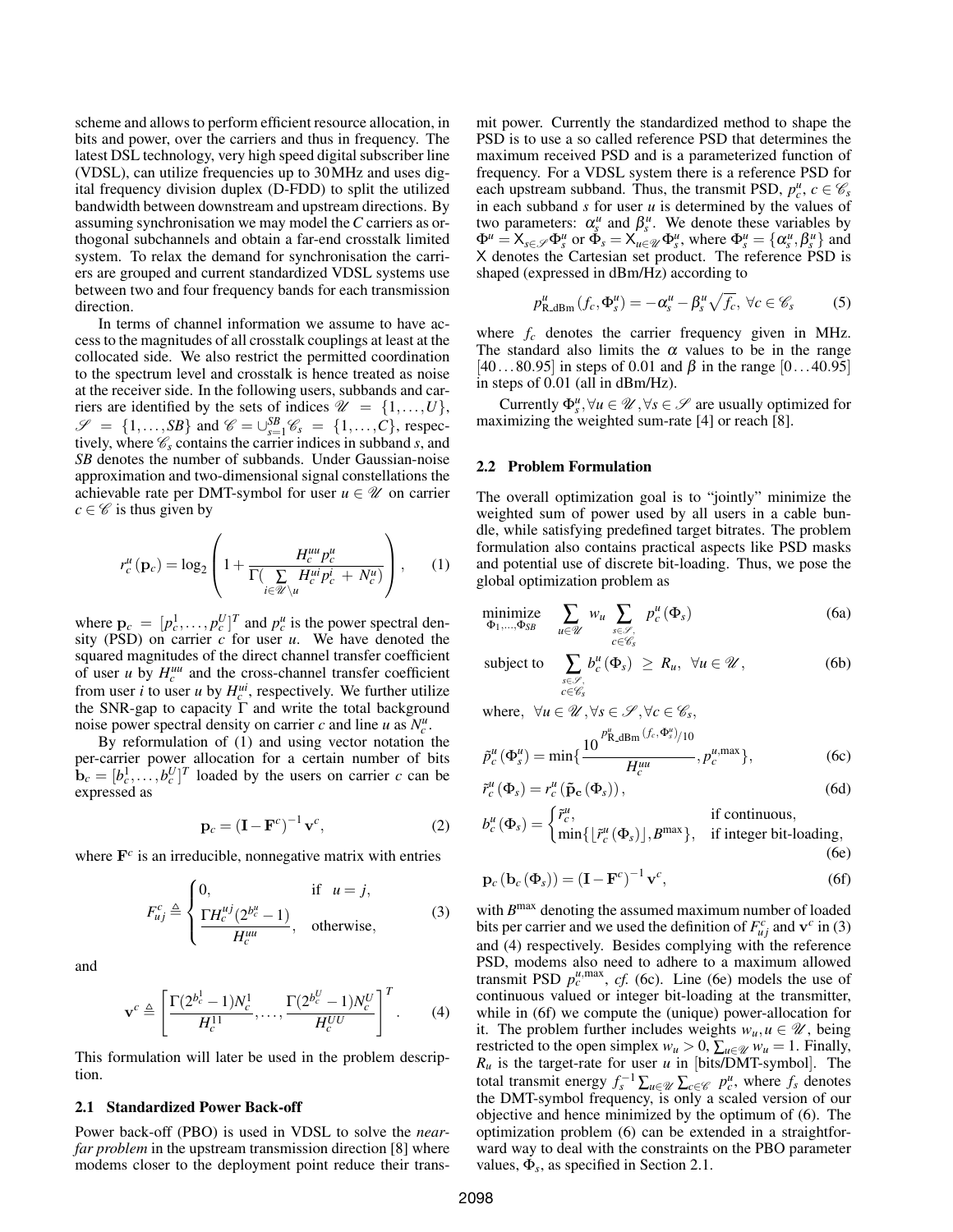scheme and allows to perform efficient resource allocation, in bits and power, over the carriers and thus in frequency. The latest DSL technology, very high speed digital subscriber line (VDSL), can utilize frequencies up to 30MHz and uses digital frequency division duplex (D-FDD) to split the utilized bandwidth between downstream and upstream directions. By assuming synchronisation we may model the*C* carriers as orthogonal subchannels and obtain a far-end crosstalk limited system. To relax the demand for synchronisation the carriers are grouped and current standardized VDSL systems use between two and four frequency bands for each transmission direction.

In terms of channel information we assume to have access to the magnitudes of all crosstalk couplings at least at the collocated side. We also restrict the permitted coordination to the spectrum level and crosstalk is hence treated as noise at the receiver side. In the following users, subbands and carriers are identified by the sets of indices  $\mathcal{U} = \{1, \ldots, U\},\$  $\mathscr{S} = \{1, \ldots, SB\}$  and  $\mathscr{C} = \cup_{s=1}^{SB} \mathscr{C}_s = \{1, \ldots, C\}$ , respectively, where  $\mathscr{C}_s$  contains the carrier indices in subband *s*, and *SB* denotes the number of subbands. Under Gaussian-noise approximation and two-dimensional signal constellations the achievable rate per DMT-symbol for user  $u \in \mathcal{U}$  on carrier  $c \in \mathscr{C}$  is thus given by

$$
r_c^u(\mathbf{p}_c) = \log_2\left(1 + \frac{H_c^{uu}p_c^u}{\Gamma(\sum\limits_{i \in \mathcal{U} \setminus u} H_c^{ui}p_c^i + N_c^u)}\right), \quad (1)
$$

where  $\mathbf{p}_c = [p_c^1, \dots, p_c^U]^T$  and  $p_c^u$  is the power spectral density (PSD) on carrier *c* for user *u*. We have denoted the squared magnitudes of the direct channel transfer coefficient of user *u* by  $H_c^{uu}$  and the cross-channel transfer coefficient from user *i* to user *u* by  $H_c^{ui}$ , respectively. We further utilize the SNR-gap to capacity  $\Gamma$  and write the total background noise power spectral density on carrier *c* and line *u* as  $N_c^u$ .

By reformulation of (1) and using vector notation the per-carrier power allocation for a certain number of bits  $\mathbf{b}_c = [b_c^1, \dots, b_c^U]^T$  loaded by the users on carrier *c* can be expressed as

$$
\mathbf{p}_c = (\mathbf{I} - \mathbf{F}^c)^{-1} \mathbf{v}^c,\tag{2}
$$

where  $\mathbf{F}^c$  is an irreducible, nonnegative matrix with entries

$$
F_{uj}^c \triangleq \begin{cases} 0, & \text{if } u = j, \\ \frac{\Gamma H_c^{uj}(2^{b_c^u} - 1)}{H_c^{uu}}, & \text{otherwise,} \end{cases}
$$
 (3)

and

$$
\mathbf{v}^c \triangleq \left[ \frac{\Gamma(2^{b_c^1} - 1)N_c^1}{H_c^{11}}, \dots, \frac{\Gamma(2^{b_c^U} - 1)N_c^U}{H_c^{UU}} \right]^T.
$$
 (4)

This formulation will later be used in the problem description.

#### 2.1 Standardized Power Back-off

Power back-off (PBO) is used in VDSL to solve the *nearfar problem* in the upstream transmission direction [8] where modems closer to the deployment point reduce their transmit power. Currently the standardized method to shape the PSD is to use a so called reference PSD that determines the maximum received PSD and is a parameterized function of frequency. For a VDSL system there is a reference PSD for each upstream subband. Thus, the transmit PSD,  $p_c^u$ ,  $c \in \mathcal{C}_s$ in each subband *s* for user *u* is determined by the values of two parameters:  $\alpha_s^u$  and  $\beta_s^u$ . We denote these variables by  $\Phi^u = \mathsf{X}_{s \in \mathscr{S}} \Phi^u_s$  or  $\Phi^s = \mathsf{X}_{u \in \mathscr{U}} \Phi^u_s$ , where  $\Phi^u_s = {\alpha^u_s, \beta^u_s}$  and X denotes the Cartesian set product. The reference PSD is shaped (expressed in dBm/Hz) according to

$$
p_{\text{R\_dBm}}^{u}(f_{c}, \Phi_{s}^{u}) = -\alpha_{s}^{u} - \beta_{s}^{u} \sqrt{f_{c}}, \forall c \in \mathscr{C}_{s}
$$
 (5)

where  $f_c$  denotes the carrier frequency given in MHz. The standard also limits the  $\alpha$  values to be in the range  $[40...80.95]$  in steps of 0.01 and β in the range  $[0...40.95]$ in steps of 0.01 (all in dBm/Hz).

Currently  $\Phi_s^u, \forall u \in \mathcal{U}, \forall s \in \mathcal{S}$  are usually optimized for maximizing the weighted sum-rate [4] or reach [8].

#### 2.2 Problem Formulation

The overall optimization goal is to "jointly" minimize the weighted sum of power used by all users in a cable bundle, while satisfying predefined target bitrates. The problem formulation also contains practical aspects like PSD masks and potential use of discrete bit-loading. Thus, we pose the global optimization problem as

$$
\underset{\Phi_1,\ldots,\Phi_{SB}}{\text{minimize}} \quad \sum_{u \in \mathcal{U}} w_u \sum_{\substack{s \in \mathcal{S},\\c \in \mathcal{C}_s}} p_c^u(\Phi_s) \tag{6a}
$$

subject to 
$$
\sum_{\substack{s \in \mathscr{S},\\c \in \mathscr{C}_s}} b_c^u(\Phi_s) \geq R_u, \ \forall u \in \mathscr{U},
$$
 (6b)

where,  $\forall u \in \mathcal{U}, \forall s \in \mathcal{S}, \forall c \in \mathcal{C}_s$ ,

$$
\tilde{p}_c^u(\Phi_s^u) = \min\{\frac{10^{p_{\text{R,dBm}}^u(f_c, \Phi_s^u)/10}}{H_c^{uu}}, p_c^{u, \max}\},
$$
\n(6c)

$$
\tilde{r}_c^u(\Phi_s) = r_c^u(\tilde{\mathbf{p}}_c(\Phi_s)),\tag{6d}
$$

$$
b_c^u(\Phi_s) = \begin{cases} \tilde{r}_c^u, & \text{if continuous,} \\ \min\{ \lfloor \tilde{r}_c^u(\Phi_s) \rfloor, B^{\max} \}, & \text{if integer bit-loading,} \\ 0. & \text{otherwise} \end{cases}
$$

$$
\mathbf{p}_c(\mathbf{b}_c(\Phi_s)) = (\mathbf{I} - \mathbf{F}^c)^{-1} \mathbf{v}^c,\tag{6f}
$$

with  $B<sup>max</sup>$  denoting the assumed maximum number of loaded bits per carrier and we used the definition of  $F_{uj}^c$  and  $\mathbf{v}^c$  in (3) and (4) respectively. Besides complying with the reference PSD, modems also need to adhere to a maximum allowed transmit PSD  $p_c^{\mu, \text{max}}$ , *cf.* (6c). Line (6e) models the use of continuous valued or integer bit-loading at the transmitter, while in (6f) we compute the (unique) power-allocation for it. The problem further includes weights  $w_u, u \in \mathcal{U}$ , being restricted to the open simplex  $w_u > 0$ ,  $\sum_{u \in \mathcal{U}} w_u = 1$ . Finally,  $R_u$  is the target-rate for user *u* in [bits/DMT-symbol]. The total transmit energy  $f_s^{-1} \sum_{u \in \mathcal{U}} \sum_{c \in \mathcal{C}} p_c^u$ , where  $f_s$  denotes the DMT-symbol frequency, is only a scaled version of our objective and hence minimized by the optimum of (6). The optimization problem (6) can be extended in a straightforward way to deal with the constraints on the PBO parameter values, Φ*<sup>s</sup>* , as specified in Section 2.1.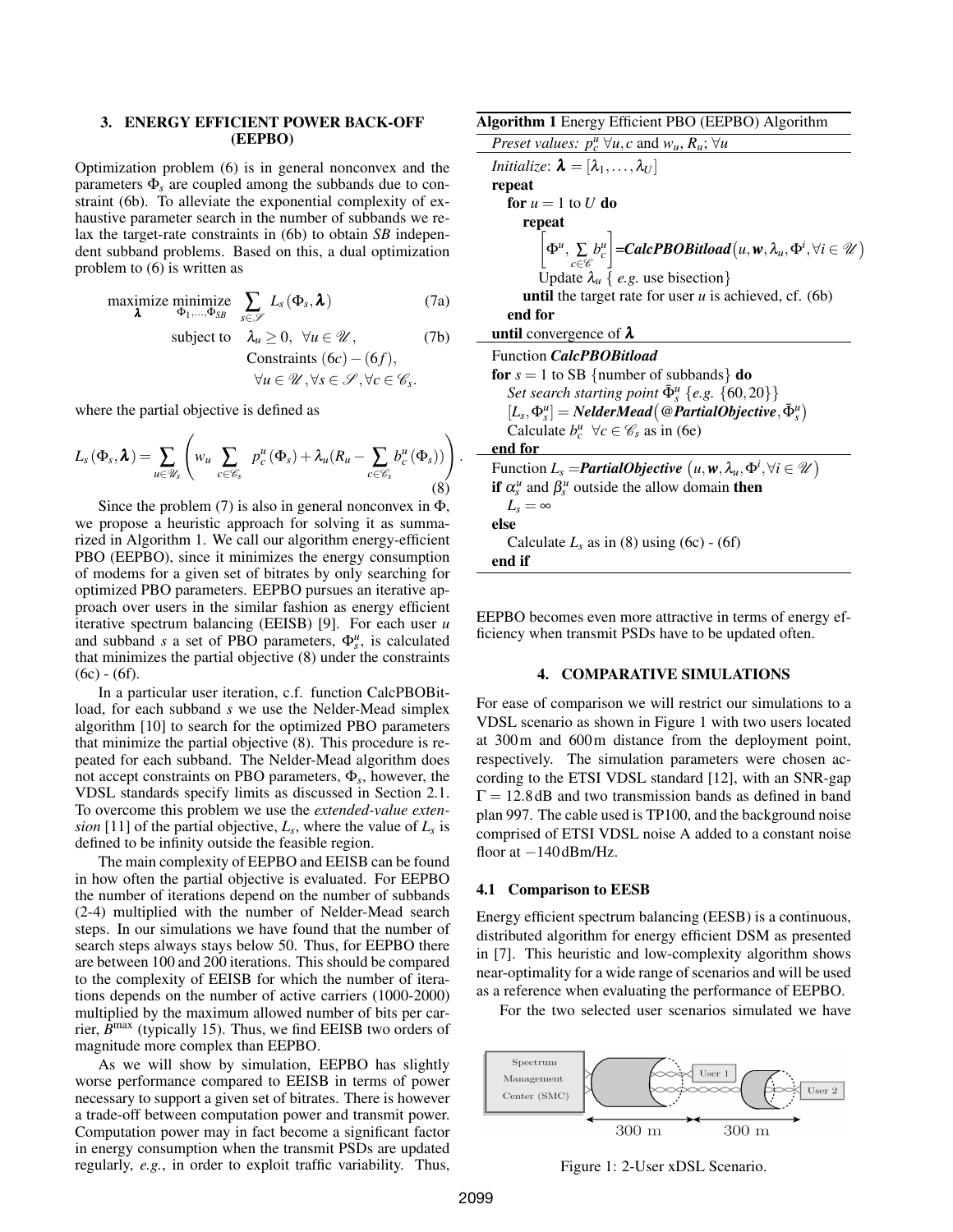### 3. ENERGY EFFICIENT POWER BACK-OFF (EEPBO)

Optimization problem (6) is in general nonconvex and the parameters  $\Phi_s$  are coupled among the subbands due to constraint (6b). To alleviate the exponential complexity of exhaustive parameter search in the number of subbands we relax the target-rate constraints in (6b) to obtain *SB* independent subband problems. Based on this, a dual optimization problem to (6) is written as

$$
\underset{\boldsymbol{\lambda}}{\text{maximize } \underset{\Phi_1,\ldots,\Phi_{SB}}{\text{minimize}} \sum_{s\in\mathscr{S}} L_s(\Phi_s,\boldsymbol{\lambda})}
$$
(7a)

subject to 
$$
\lambda_u \ge 0, \forall u \in \mathcal{U},
$$
 (7b)  
Constraints  $(6c) - (6f),$   
 $\forall u \in \mathcal{U}, \forall s \in \mathcal{S}, \forall c \in \mathcal{C}_s.$ 

where the partial objective is defined as

$$
L_{s}(\boldsymbol{\Phi}_{s},\boldsymbol{\lambda})=\sum_{u\in\mathscr{U}_{s}}\left(w_{u}\sum_{c\in\mathscr{C}_{s}}p_{c}^{u}(\boldsymbol{\Phi}_{s})+\lambda_{u}(R_{u}-\sum_{c\in\mathscr{C}_{s}}b_{c}^{u}(\boldsymbol{\Phi}_{s}))\right)
$$
(8)

Since the problem (7) is also in general nonconvex in  $\Phi$ , we propose a heuristic approach for solving it as summarized in Algorithm 1. We call our algorithm energy-efficient PBO (EEPBO), since it minimizes the energy consumption of modems for a given set of bitrates by only searching for optimized PBO parameters. EEPBO pursues an iterative approach over users in the similar fashion as energy efficient iterative spectrum balancing (EEISB) [9]. For each user *u* and subband *s* a set of PBO parameters,  $\Phi_s^u$ , is calculated that minimizes the partial objective (8) under the constraints  $(6c) - (6f)$ .

In a particular user iteration, c.f. function CalcPBOBitload, for each subband *s* we use the Nelder-Mead simplex algorithm [10] to search for the optimized PBO parameters that minimize the partial objective (8). This procedure is repeated for each subband. The Nelder-Mead algorithm does not accept constraints on PBO parameters, Φ*<sup>s</sup>* , however, the VDSL standards specify limits as discussed in Section 2.1. To overcome this problem we use the *extended-value extension* [11] of the partial objective,  $L_s$ , where the value of  $L_s$  is defined to be infinity outside the feasible region.

The main complexity of EEPBO and EEISB can be found in how often the partial objective is evaluated. For EEPBO the number of iterations depend on the number of subbands (2-4) multiplied with the number of Nelder-Mead search steps. In our simulations we have found that the number of search steps always stays below 50. Thus, for EEPBO there are between 100 and 200 iterations. This should be compared to the complexity of EEISB for which the number of iterations depends on the number of active carriers (1000-2000) multiplied by the maximum allowed number of bits per carrier,  $\dot{B}^{\text{max}}$  (typically 15). Thus, we find EEISB two orders of magnitude more complex than EEPBO.

As we will show by simulation, EEPBO has slightly worse performance compared to EEISB in terms of power necessary to support a given set of bitrates. There is however a trade-off between computation power and transmit power. Computation power may in fact become a significant factor in energy consumption when the transmit PSDs are updated regularly, *e.g.*, in order to exploit traffic variability. Thus,

|  | Algorithm 1 Energy Efficient PBO (EEPBO) Algorithm |  |
|--|----------------------------------------------------|--|
|  |                                                    |  |

| $\cdots$                                                                                                            |  |  |  |  |  |
|---------------------------------------------------------------------------------------------------------------------|--|--|--|--|--|
| <i>Preset values:</i> $p_c^u \forall u, c$ and $w_u, R_u$ ; $\forall u$                                             |  |  |  |  |  |
| <i>Initialize:</i> $\boldsymbol{\lambda} = [\lambda_1, \ldots, \lambda_U]$                                          |  |  |  |  |  |
| repeat                                                                                                              |  |  |  |  |  |
| for $u = 1$ to U do                                                                                                 |  |  |  |  |  |
| repeat                                                                                                              |  |  |  |  |  |
| $\left \Phi^u,\sum_{c\in\mathscr{C}}b^u_c\right $ = CalcPBOBitload $(u,w,\lambda_u,\Phi^i,\forall i\in\mathscr{U})$ |  |  |  |  |  |
| Update $\lambda_u$ { <i>e.g.</i> use bisection}                                                                     |  |  |  |  |  |
| <b>until</b> the target rate for user $u$ is achieved, cf. (6b)                                                     |  |  |  |  |  |
| end for                                                                                                             |  |  |  |  |  |
| <b>until</b> convergence of $\lambda$                                                                               |  |  |  |  |  |
| <b>Function CalcPBOBitload</b>                                                                                      |  |  |  |  |  |
| <b>for</b> $s = 1$ to SB {number of subbands} <b>do</b>                                                             |  |  |  |  |  |
| Set search starting point $\bar{\Phi}_{s}^{\mu}$ {e.g. {60,20}}                                                     |  |  |  |  |  |
| $[L_s, \Phi_s^u] = N$ elderMead (@PartialObjective, $\bar{\Phi}_s^u$ )                                              |  |  |  |  |  |
| Calculate $b_c^u$ $\forall c \in \mathcal{C}_s$ as in (6e)                                                          |  |  |  |  |  |
| end for                                                                                                             |  |  |  |  |  |
| Function $L_s =$ <b>PartialObjective</b> $(u, w, \lambda_u, \Phi^i, \forall i \in \mathcal{U})$                     |  |  |  |  |  |
| if $\alpha_{\rm s}^u$ and $\beta_{\rm s}^u$ outside the allow domain then                                           |  |  |  |  |  |
| $L_{\rm s} = \infty$                                                                                                |  |  |  |  |  |
| else                                                                                                                |  |  |  |  |  |
| Calculate $L_s$ as in (8) using (6c) - (6f)                                                                         |  |  |  |  |  |
| end if                                                                                                              |  |  |  |  |  |

EEPBO becomes even more attractive in terms of energy efficiency when transmit PSDs have to be updated often.

#### 4. COMPARATIVE SIMULATIONS

For ease of comparison we will restrict our simulations to a VDSL scenario as shown in Figure 1 with two users located at 300m and 600m distance from the deployment point, respectively. The simulation parameters were chosen according to the ETSI VDSL standard [12], with an SNR-gap  $\Gamma = 12.8$  dB and two transmission bands as defined in band plan 997. The cable used is TP100, and the background noise comprised of ETSI VDSL noise A added to a constant noise floor at −140 dBm/Hz.

#### 4.1 Comparison to EESB

Energy efficient spectrum balancing (EESB) is a continuous, distributed algorithm for energy efficient DSM as presented in [7]. This heuristic and low-complexity algorithm shows near-optimality for a wide range of scenarios and will be used as a reference when evaluating the performance of EEPBO.

For the two selected user scenarios simulated we have



Figure 1: 2-User xDSL Scenario.

.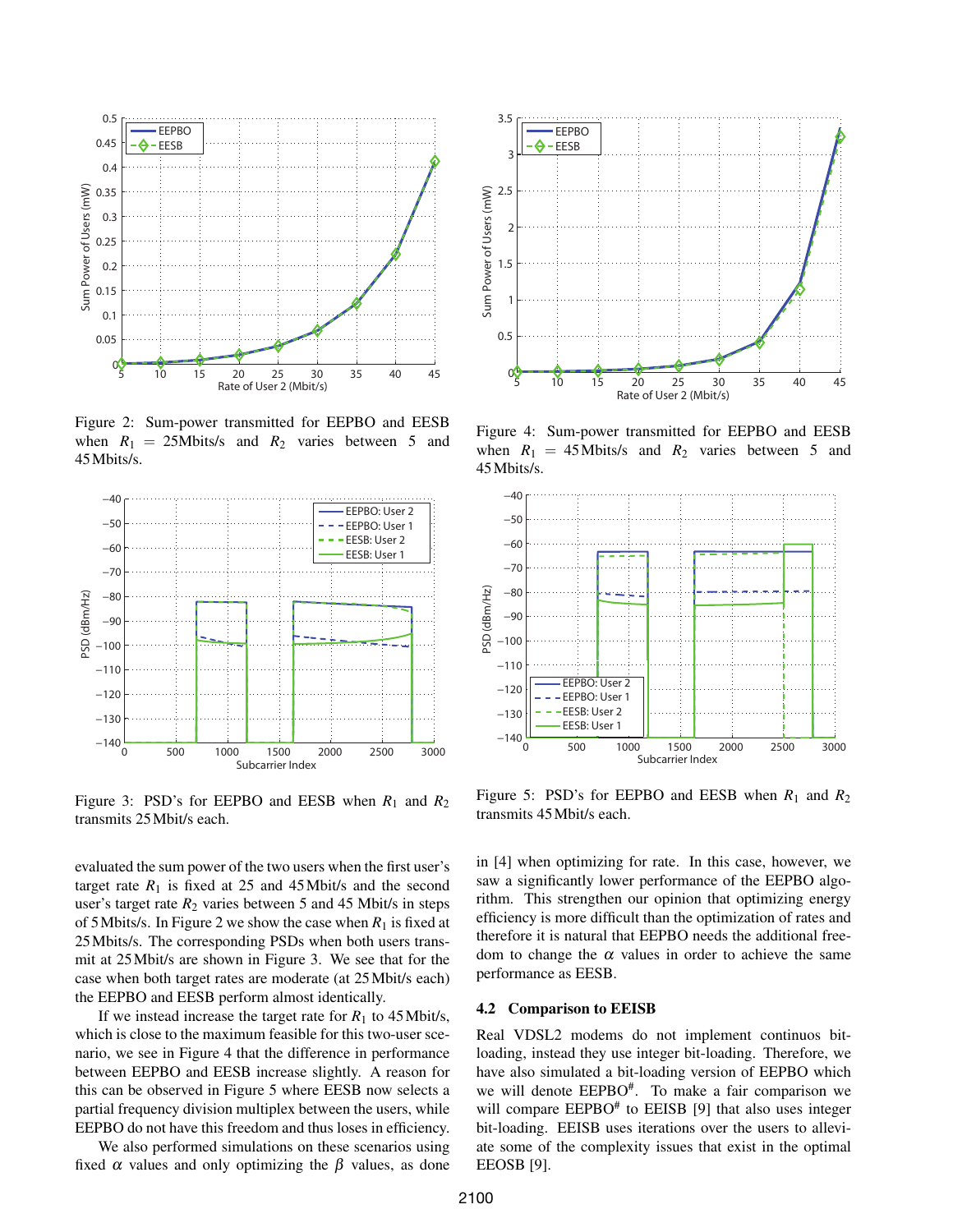

Figure 2: Sum-power transmitted for EEPBO and EESB when  $R_1 = 25$ Mbits/s and  $R_2$  varies between 5 and 45Mbits/s.



Figure 3: PSD's for EEPBO and EESB when  $R_1$  and  $R_2$ transmits 25Mbit/s each.

evaluated the sum power of the two users when the first user's target rate  $R_1$  is fixed at 25 and 45 Mbit/s and the second user's target rate  $R_2$  varies between 5 and 45 Mbit/s in steps of 5 Mbits/s. In Figure 2 we show the case when  $R_1$  is fixed at 25Mbits/s. The corresponding PSDs when both users transmit at 25Mbit/s are shown in Figure 3. We see that for the case when both target rates are moderate (at 25Mbit/s each) the EEPBO and EESB perform almost identically.

If we instead increase the target rate for  $R_1$  to 45 Mbit/s, which is close to the maximum feasible for this two-user scenario, we see in Figure 4 that the difference in performance between EEPBO and EESB increase slightly. A reason for this can be observed in Figure 5 where EESB now selects a partial frequency division multiplex between the users, while EEPBO do not have this freedom and thus loses in efficiency.

We also performed simulations on these scenarios using fixed  $\alpha$  values and only optimizing the  $\beta$  values, as done



Figure 4: Sum-power transmitted for EEPBO and EESB when  $R_1 = 45$  Mbits/s and  $R_2$  varies between 5 and 45Mbits/s.



Figure 5: PSD's for EEPBO and EESB when  $R_1$  and  $R_2$ transmits 45Mbit/s each.

in [4] when optimizing for rate. In this case, however, we saw a significantly lower performance of the EEPBO algorithm. This strengthen our opinion that optimizing energy efficiency is more difficult than the optimization of rates and therefore it is natural that EEPBO needs the additional freedom to change the  $\alpha$  values in order to achieve the same performance as EESB.

### 4.2 Comparison to EEISB

Real VDSL2 modems do not implement continuos bitloading, instead they use integer bit-loading. Therefore, we have also simulated a bit-loading version of EEPBO which we will denote EEPBO<sup>#</sup>. To make a fair comparison we will compare  $EEPBO^{\#}$  to  $EEISB$  [9] that also uses integer bit-loading. EEISB uses iterations over the users to alleviate some of the complexity issues that exist in the optimal EEOSB [9].